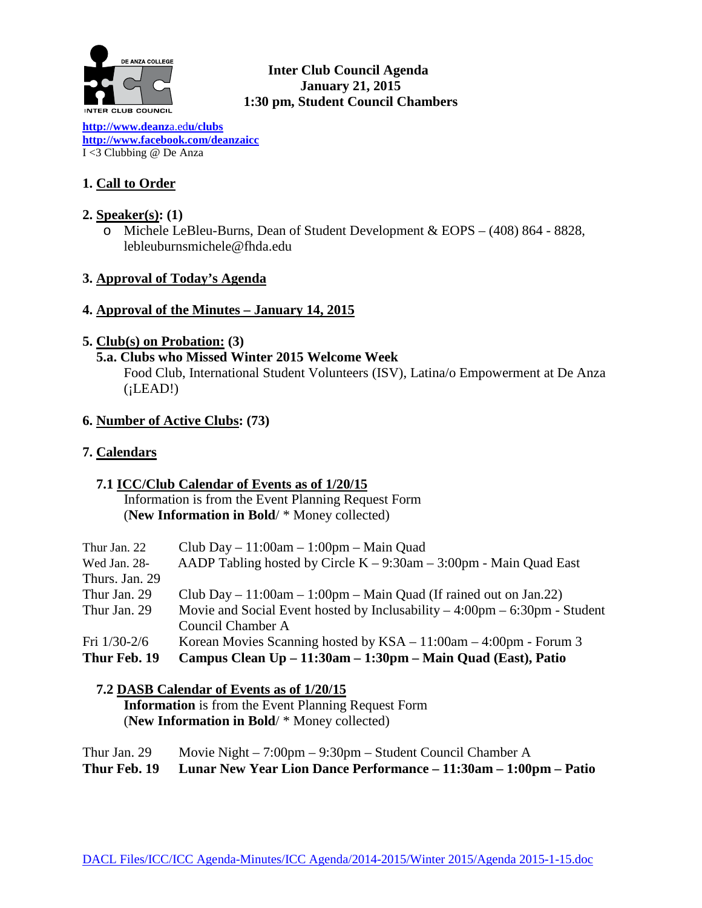

# **Inter Club Council Agenda January 21, 2015 1:30 pm, Student Council Chambers**

**[http://www.deanz](http://www.deanza.edu/clubs)**a.ed**u/clubs [http://www.facebook.com/deanzaicc](http://www.facebook.com/home.php%23!/group.php?gid=59034552686)** I <3 Clubbing @ De Anza

# **1. Call to Order**

# **2. Speaker(s): (1)**

o Michele LeBleu-Burns, Dean of Student Development & EOPS – (408) 864 - 8828, lebleuburnsmichele@fhda.edu

# **3. Approval of Today's Agenda**

### **4. Approval of the Minutes – January 14, 2015**

### **5. Club(s) on Probation: (3)**

# **5.a. Clubs who Missed Winter 2015 Welcome Week** Food Club, International Student Volunteers (ISV), Latina/o Empowerment at De Anza  $(iLEAD!)$

### **6. Number of Active Clubs: (73)**

# **7. Calendars**

# **7.1 ICC/Club Calendar of Events as of 1/20/15**

 Information is from the Event Planning Request Form (**New Information in Bold**/ \* Money collected)

| Thur Jan. 22   | Club Day $-11:00$ am $-1:00$ pm $-$ Main Quad                                               |
|----------------|---------------------------------------------------------------------------------------------|
| Wed Jan. 28-   | AADP Tabling hosted by Circle $K - 9:30$ am $- 3:00$ pm - Main Quad East                    |
| Thurs. Jan. 29 |                                                                                             |
| Thur Jan. 29   | Club Day $-11:00$ am $-1:00$ pm $-$ Main Quad (If rained out on Jan.22)                     |
| Thur Jan. 29   | Movie and Social Event hosted by Inclusability $-4:00 \text{pm} - 6:30 \text{pm}$ - Student |
|                | Council Chamber A                                                                           |
| Fri $1/30-2/6$ | Korean Movies Scanning hosted by $KSA - 11:00$ am $- 4:00$ pm - Forum 3                     |
| Thur Feb. 19   | Campus Clean Up – 11:30am – 1:30pm – Main Quad (East), Patio                                |
|                |                                                                                             |

# **7.2 DASB Calendar of Events as of 1/20/15**

 **Information** is from the Event Planning Request Form (**New Information in Bold**/ \* Money collected)

Thur Jan. 29 Movie Night – 7:00pm – 9:30pm – Student Council Chamber A **Thur Feb. 19 Lunar New Year Lion Dance Performance – 11:30am – 1:00pm – Patio**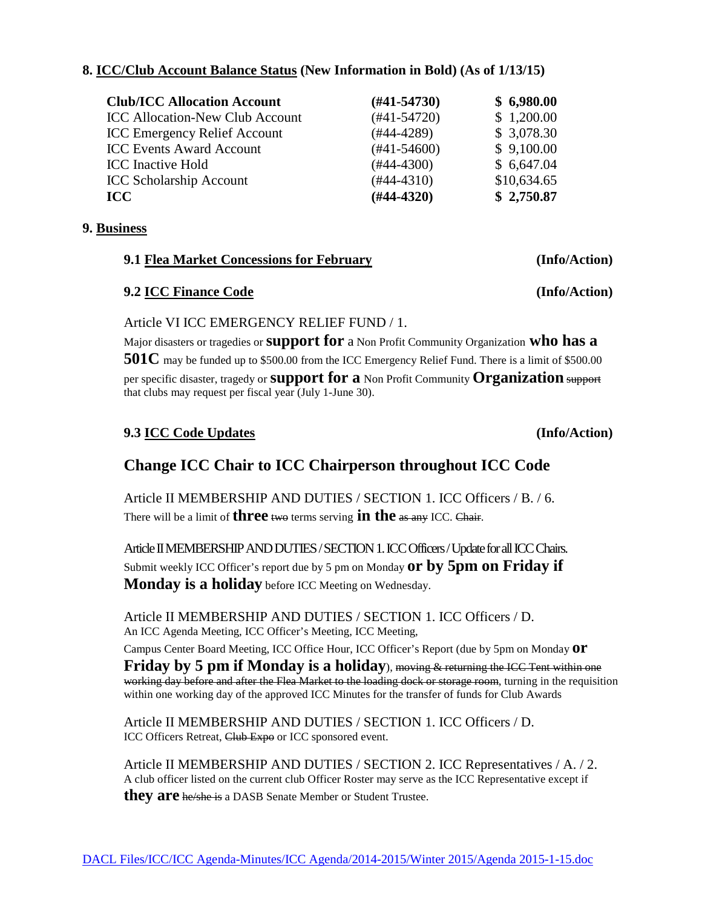#### **8. ICC/Club Account Balance Status (New Information in Bold) (As of 1/13/15)**

| <b>Club/ICC Allocation Account</b>     | $(\#41 - 54730)$ | \$6,980.00  |
|----------------------------------------|------------------|-------------|
| <b>ICC Allocation-New Club Account</b> | $(#41-54720)$    | \$1,200.00  |
| <b>ICC Emergency Relief Account</b>    | $(#44-4289)$     | \$ 3,078.30 |
| <b>ICC Events Award Account</b>        | $(#41-54600)$    | \$9,100.00  |
| <b>ICC</b> Inactive Hold               | $(#44-4300)$     | \$6,647.04  |
| <b>ICC Scholarship Account</b>         | $(#44-4310)$     | \$10,634.65 |
| <b>ICC</b>                             | $(H44-4320)$     | \$2,750.87  |

#### **9. Business**

# **9.1 Flea Market Concessions for February (Info/Action)**

#### **9.2 ICC Finance Code (Info/Action)**

Article VI ICC EMERGENCY RELIEF FUND / 1.

Major disasters or tragedies or **support for** a Non Profit Community Organization **who has a 501C** may be funded up to \$500.00 from the ICC Emergency Relief Fund. There is a limit of \$500.00 per specific disaster, tragedy or **support for a** Non Profit Community **Organization** support that clubs may request per fiscal year (July 1-June 30).

# **9.3 ICC Code Updates (Info/Action)**

# **Change ICC Chair to ICC Chairperson throughout ICC Code**

Article II MEMBERSHIP AND DUTIES / SECTION 1. ICC Officers / B. / 6. There will be a limit of **three** two terms serving **in the** as any ICC. Chair.

Article II MEMBERSHIP AND DUTIES / SECTION 1. ICC Officers / Update for all ICC Chairs. Submit weekly ICC Officer's report due by 5 pm on Monday **or by 5pm on Friday if Monday is a holiday** before ICC Meeting on Wednesday.

Article II MEMBERSHIP AND DUTIES / SECTION 1. ICC Officers / D. An ICC Agenda Meeting, ICC Officer's Meeting, ICC Meeting, Campus Center Board Meeting, ICC Office Hour, ICC Officer's Report (due by 5pm on Monday **or Friday by 5 pm if Monday is a holiday**), moving & returning the ICC Tent within one working day before and after the Flea Market to the loading dock or storage room, turning in the requisition

within one working day of the approved ICC Minutes for the transfer of funds for Club Awards

Article II MEMBERSHIP AND DUTIES / SECTION 1. ICC Officers / D. ICC Officers Retreat, Club Expo or ICC sponsored event.

Article II MEMBERSHIP AND DUTIES / SECTION 2. ICC Representatives / A. / 2. A club officer listed on the current club Officer Roster may serve as the ICC Representative except if **they are** he/she is a DASB Senate Member or Student Trustee.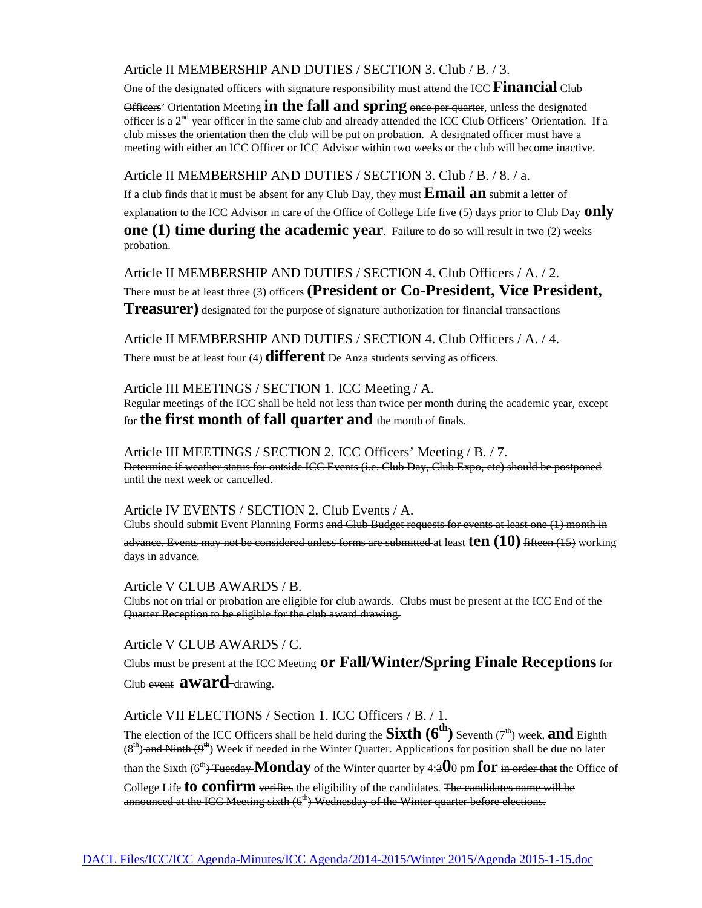Article II MEMBERSHIP AND DUTIES / SECTION 3. Club / B. / 3.

One of the designated officers with signature responsibility must attend the ICC **Financial** Club

Officers' Orientation Meeting **in the fall and spring** once per quarter, unless the designated officer is a 2<sup>nd</sup> year officer in the same club and already attended the ICC Club Officers' Orientation. If a club misses the orientation then the club will be put on probation. A designated officer must have a meeting with either an ICC Officer or ICC Advisor within two weeks or the club will become inactive.

Article II MEMBERSHIP AND DUTIES / SECTION 3. Club / B. / 8. / a.

If a club finds that it must be absent for any Club Day, they must **Email an** submit a letter of explanation to the ICC Advisor in care of the Office of College Life five (5) days prior to Club Day **only one (1) time during the academic year**. Failure to do so will result in two (2) weeks probation.

Article II MEMBERSHIP AND DUTIES / SECTION 4. Club Officers / A. / 2. There must be at least three (3) officers **(President or Co-President, Vice President, Treasurer)** designated for the purpose of signature authorization for financial transactions

Article II MEMBERSHIP AND DUTIES / SECTION 4. Club Officers / A. / 4. There must be at least four (4) **different** De Anza students serving as officers.

Article III MEETINGS / SECTION 1. ICC Meeting / A. Regular meetings of the ICC shall be held not less than twice per month during the academic year, except for **the first month of fall quarter and** the month of finals.

Article III MEETINGS / SECTION 2. ICC Officers' Meeting / B. / 7. Determine if weather status for outside ICC Events (i.e. Club Day, Club Expo, etc) should be postponed until the next week or cancelled.

Article IV EVENTS / SECTION 2. Club Events / A.

Clubs should submit Event Planning Forms and Club Budget requests for events at least one (1) month in advance. Events may not be considered unless forms are submitted at least **ten (10)** fifteen (15) working days in advance.

Article V CLUB AWARDS / B. Clubs not on trial or probation are eligible for club awards. Clubs must be present at the ICC End of the Quarter Reception to be eligible for the club award drawing.

Article V CLUB AWARDS / C.

Clubs must be present at the ICC Meeting **or Fall/Winter/Spring Finale Receptions**for Club event **award**-drawing.

Article VII ELECTIONS / Section 1. ICC Officers / B. / 1.

The election of the ICC Officers shall be held during the **Sixth**  $(6^{th})$  Seventh ( $7^{th}$ ) week, **and** Eighth  $(8<sup>th</sup>)$  and Ninth  $(9<sup>th</sup>)$  Week if needed in the Winter Quarter. Applications for position shall be due no later

than the Sixth  $(6^{th})$  Tuesday **Monday** of the Winter quarter by 4:300 pm **for** in order that the Office of

College Life **to confirm** verifies the eligibility of the candidates. The candidates name will be announced at the ICC Meeting sixth  $(6<sup>th</sup>)$  Wednesday of the Winter quarter before elections.